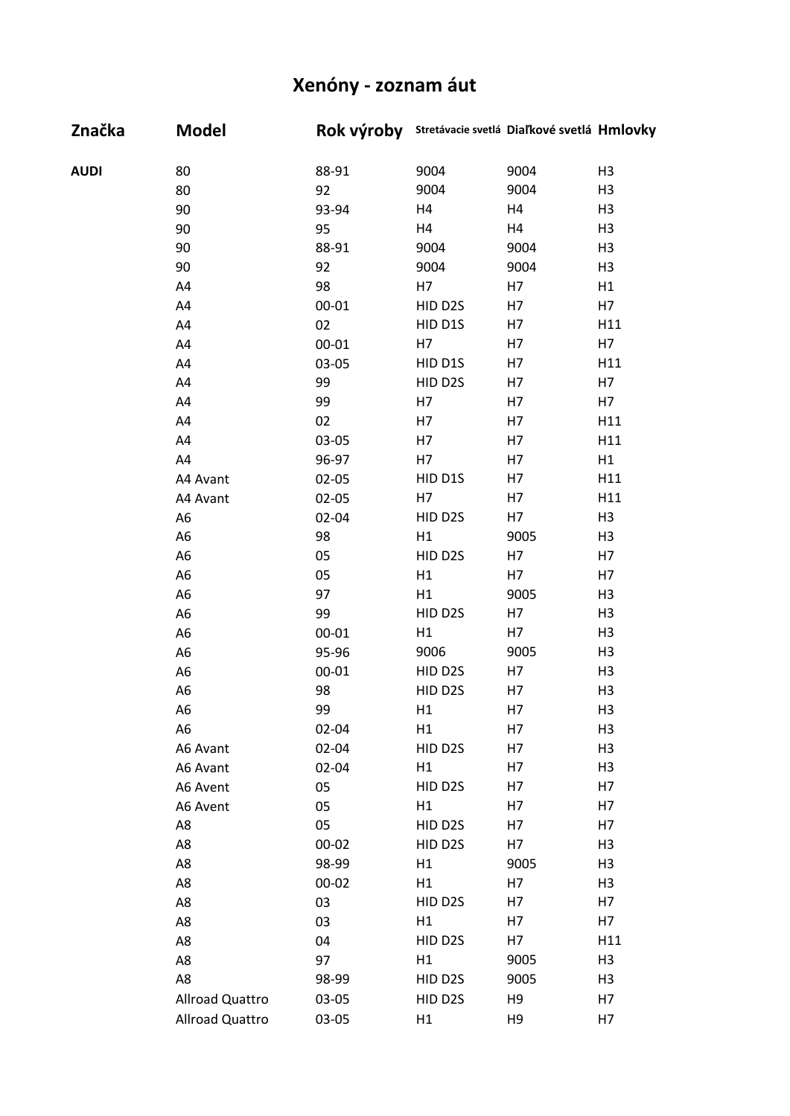| Značka      | <b>Model</b>    |           | Rok výroby Stretávacie svetlá Diaľkové svetlá Hmlovky |                |                |
|-------------|-----------------|-----------|-------------------------------------------------------|----------------|----------------|
| <b>AUDI</b> | 80              | 88-91     | 9004                                                  | 9004           | H <sub>3</sub> |
|             | 80              | 92        | 9004                                                  | 9004           | H <sub>3</sub> |
|             | 90              | 93-94     | H <sub>4</sub>                                        | H4             | H <sub>3</sub> |
|             | 90              | 95        | H4                                                    | H4             | H <sub>3</sub> |
|             | 90              | 88-91     | 9004                                                  | 9004           | H <sub>3</sub> |
|             | 90              | 92        | 9004                                                  | 9004           | H <sub>3</sub> |
|             | A4              | 98        | H7                                                    | H7             | H1             |
|             | A4              | $00 - 01$ | HID D2S                                               | H7             | H7             |
|             | A4              | 02        | HID D1S                                               | H7             | H11            |
|             | A4              | $00 - 01$ | H7                                                    | H7             | H7             |
|             | A4              | 03-05     | HID D1S                                               | H7             | H11            |
|             | A4              | 99        | HID D2S                                               | H7             | H7             |
|             | A4              | 99        | H7                                                    | H7             | H7             |
|             | A4              | 02        | H7                                                    | H7             | H11            |
|             | A4              | 03-05     | H7                                                    | H7             | H11            |
|             | A4              | 96-97     | H7                                                    | H7             | H1             |
|             | A4 Avant        | $02 - 05$ | HID D1S                                               | H7             | H11            |
|             | A4 Avant        | $02 - 05$ | H7                                                    | H7             | H11            |
|             | A <sub>6</sub>  | $02 - 04$ | HID D2S                                               | H7             | H <sub>3</sub> |
|             | A <sub>6</sub>  | 98        | H1                                                    | 9005           | H <sub>3</sub> |
|             | A <sub>6</sub>  | 05        | HID D2S                                               | H7             | H7             |
|             | A <sub>6</sub>  | 05        | H1                                                    | H7             | H7             |
|             | A <sub>6</sub>  | 97        | H1                                                    | 9005           | H <sub>3</sub> |
|             | A <sub>6</sub>  | 99        | HID D2S                                               | H7             | H <sub>3</sub> |
|             | A <sub>6</sub>  | $00 - 01$ | H1                                                    | H7             | H <sub>3</sub> |
|             | A <sub>6</sub>  | 95-96     | 9006                                                  | 9005           | H <sub>3</sub> |
|             | A <sub>6</sub>  | $00 - 01$ | HID D2S                                               | H7             | H <sub>3</sub> |
|             | A <sub>6</sub>  | 98        | HID D2S                                               | H7             | H <sub>3</sub> |
|             | A <sub>6</sub>  | 99        | H1                                                    | H7             | H <sub>3</sub> |
|             | A <sub>6</sub>  | $02 - 04$ | H1                                                    | H7             | H <sub>3</sub> |
|             | A6 Avant        | $02 - 04$ | HID D2S                                               | H7             | H <sub>3</sub> |
|             | A6 Avant        | $02 - 04$ | H1                                                    | H7             | H <sub>3</sub> |
|             | A6 Avent        | 05        | HID D2S                                               | H7             | H7             |
|             | A6 Avent        | 05        | H1                                                    | H7             | H7             |
|             | A8              | 05        | HID D2S                                               | H7             | H7             |
|             | A8              | $00 - 02$ | HID D2S                                               | H7             | H <sub>3</sub> |
|             | A8              | 98-99     | H1                                                    | 9005           | H <sub>3</sub> |
|             | A8              | $00 - 02$ | H1                                                    | H7             | H <sub>3</sub> |
|             | A8              | 03        | HID D2S                                               | H7             | H7             |
|             | A8              | 03        | H1                                                    | H7             | H7             |
|             | A8              | 04        | HID D2S                                               | H7             | H11            |
|             | A8              | 97        | H1                                                    | 9005           | H <sub>3</sub> |
|             | A8              | 98-99     | HID D2S                                               | 9005           | H3             |
|             | Allroad Quattro | 03-05     | HID D2S                                               | H <sub>9</sub> | H7             |
|             | Allroad Quattro | 03-05     | H1                                                    | H <sub>9</sub> | H7             |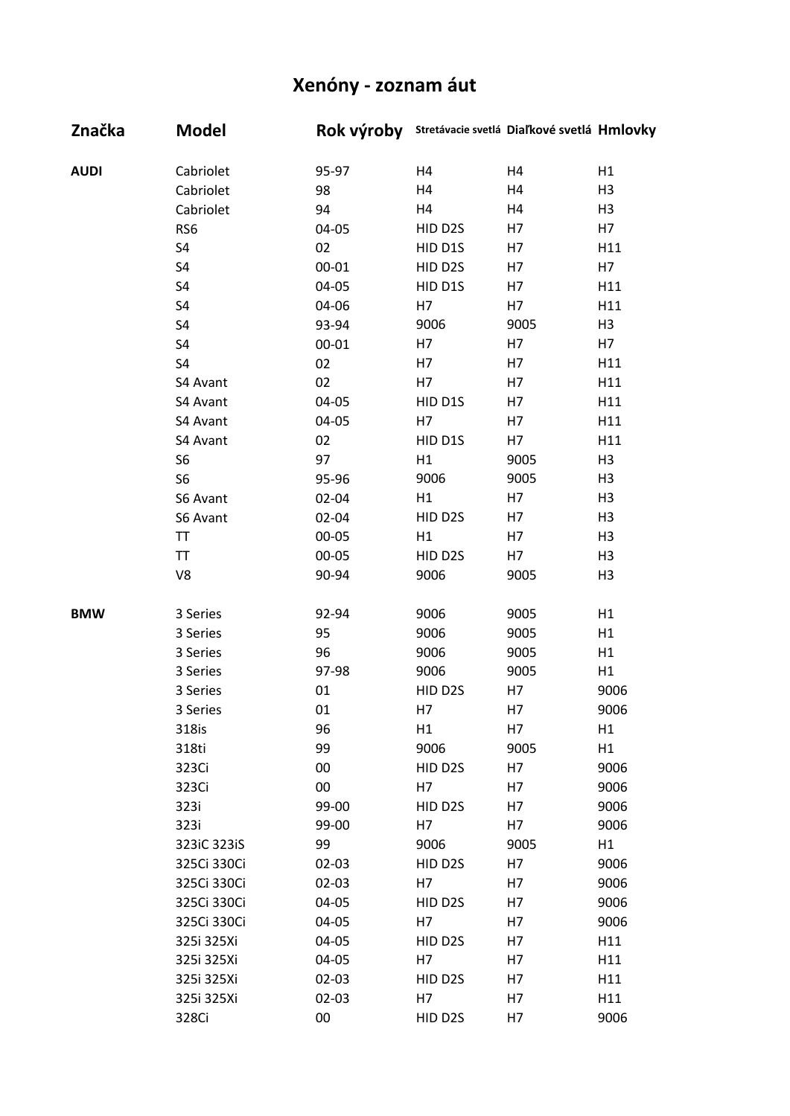| Značka      | <b>Model</b>   |           | Rok výroby Stretávacie svetlá Diaľkové svetlá Hmlovky |      |                |
|-------------|----------------|-----------|-------------------------------------------------------|------|----------------|
| <b>AUDI</b> | Cabriolet      | 95-97     | H4                                                    | H4   | H1             |
|             | Cabriolet      | 98        | H4                                                    | H4   | H <sub>3</sub> |
|             | Cabriolet      | 94        | H4                                                    | H4   | H <sub>3</sub> |
|             | RS6            | 04-05     | HID D2S                                               | H7   | H7             |
|             | S4             | 02        | HID D1S                                               | H7   | H11            |
|             | S <sub>4</sub> | $00 - 01$ | HID D2S                                               | H7   | H7             |
|             | S4             | 04-05     | HID D1S                                               | H7   | H11            |
|             | S4             | 04-06     | H7                                                    | H7   | H11            |
|             | S <sub>4</sub> | 93-94     | 9006                                                  | 9005 | H3             |
|             | S4             | $00 - 01$ | H7                                                    | H7   | H7             |
|             | S4             | 02        | H7                                                    | H7   | H11            |
|             | S4 Avant       | 02        | H7                                                    | H7   | H11            |
|             | S4 Avant       | 04-05     | HID D1S                                               | H7   | H11            |
|             | S4 Avant       | 04-05     | H7                                                    | H7   | H11            |
|             | S4 Avant       | 02        | HID D1S                                               | H7   | H11            |
|             | S <sub>6</sub> | 97        | H1                                                    | 9005 | H <sub>3</sub> |
|             | S6             | 95-96     | 9006                                                  | 9005 | H <sub>3</sub> |
|             | S6 Avant       | 02-04     | H1                                                    | H7   | H <sub>3</sub> |
|             | S6 Avant       | 02-04     | HID D2S                                               | H7   | H <sub>3</sub> |
|             | TT             | $00 - 05$ | H1                                                    | H7   | H <sub>3</sub> |
|             | <b>TT</b>      | $00 - 05$ | HID D2S                                               | H7   | H <sub>3</sub> |
|             | V8             | 90-94     | 9006                                                  | 9005 | H <sub>3</sub> |
|             |                |           |                                                       |      |                |
| <b>BMW</b>  | 3 Series       | 92-94     | 9006                                                  | 9005 | H1             |
|             | 3 Series       | 95        | 9006                                                  | 9005 | H1             |
|             | 3 Series       | 96        | 9006                                                  | 9005 | H1             |
|             | 3 Series       | 97-98     | 9006                                                  | 9005 | H1             |
|             | 3 Series       | 01        | HID D2S                                               | H7   | 9006           |
|             | 3 Series       | 01        | H7                                                    | H7   | 9006           |
|             | 318is          | 96        | H1                                                    | H7   | H1             |
|             | 318ti          | 99        | 9006                                                  | 9005 | H1             |
|             | 323Ci          | 00        | HID D2S                                               | H7   | 9006           |
|             | 323Ci          | $00\,$    | H7                                                    | H7   | 9006           |
|             | 323i           | 99-00     | HID D2S                                               | H7   | 9006           |
|             | 323i           | 99-00     | H7                                                    | H7   | 9006           |
|             | 323iC 323iS    | 99        | 9006                                                  | 9005 | H1             |
|             | 325Ci 330Ci    | $02 - 03$ | HID D2S                                               | H7   | 9006           |
|             | 325Ci 330Ci    | $02 - 03$ | H7                                                    | H7   | 9006           |
|             | 325Ci 330Ci    | 04-05     | HID D2S                                               | H7   | 9006           |
|             | 325Ci 330Ci    | 04-05     | H7                                                    | H7   | 9006           |
|             | 325i 325Xi     | 04-05     | HID D2S                                               | H7   | H11            |
|             | 325i 325Xi     | 04-05     | H7                                                    | H7   | H11            |
|             | 325i 325Xi     | $02 - 03$ | HID D2S                                               | H7   | H11            |
|             | 325i 325Xi     | $02 - 03$ | H7                                                    | H7   | H11            |
|             | 328Ci          | 00        | HID D2S                                               | H7   | 9006           |
|             |                |           |                                                       |      |                |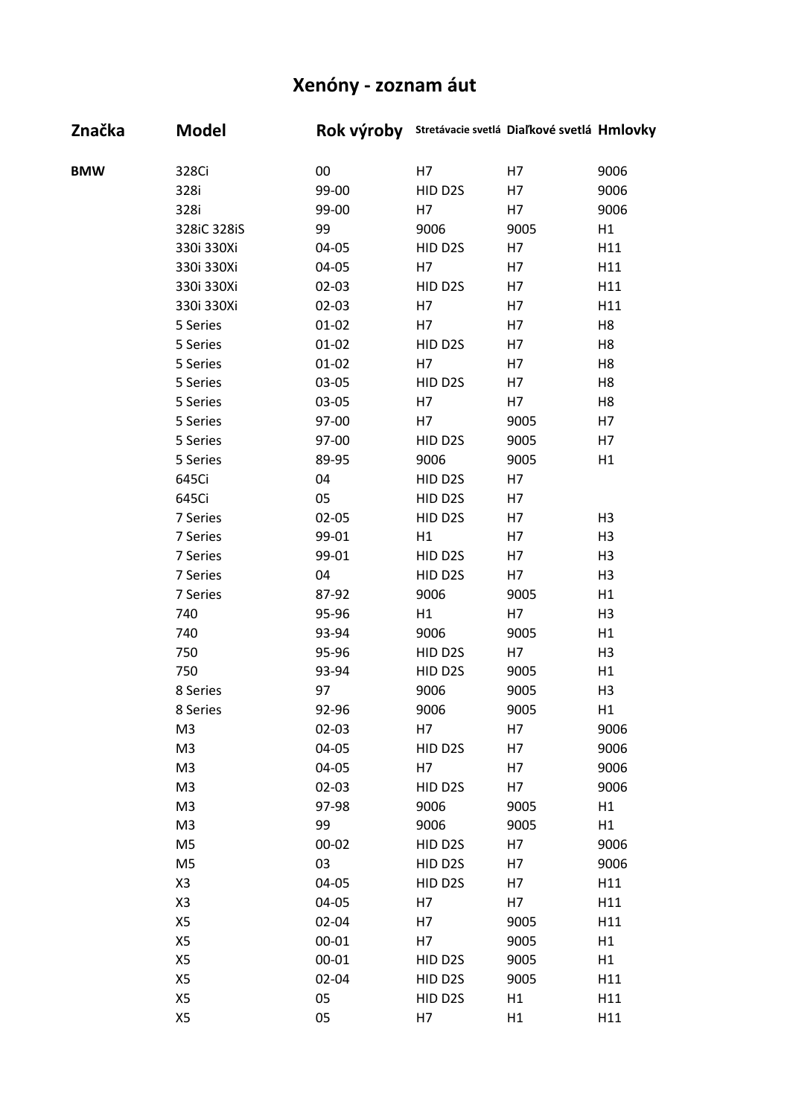| Značka     | <b>Model</b>   | Rok výroby |         | Stretávacie svetlá Diaľkové svetlá Hmlovky |                |
|------------|----------------|------------|---------|--------------------------------------------|----------------|
| <b>BMW</b> | 328Ci          | 00         | H7      | H7                                         | 9006           |
|            | 328i           | 99-00      | HID D2S | H7                                         | 9006           |
|            | 328i           | 99-00      | H7      | H7                                         | 9006           |
|            | 328iC 328iS    | 99         | 9006    | 9005                                       | H1             |
|            | 330i 330Xi     | 04-05      | HID D2S | H7                                         | H11            |
|            | 330i 330Xi     | 04-05      | H7      | H7                                         | H11            |
|            | 330i 330Xi     | $02 - 03$  | HID D2S | H7                                         | H11            |
|            | 330i 330Xi     | $02 - 03$  | H7      | H7                                         | H11            |
|            | 5 Series       | $01 - 02$  | H7      | H7                                         | H <sub>8</sub> |
|            | 5 Series       | $01 - 02$  | HID D2S | H7                                         | H <sub>8</sub> |
|            | 5 Series       | $01 - 02$  | H7      | H7                                         | H <sub>8</sub> |
|            | 5 Series       | 03-05      | HID D2S | H7                                         | H <sub>8</sub> |
|            | 5 Series       | 03-05      | H7      | H7                                         | H <sub>8</sub> |
|            | 5 Series       | 97-00      | H7      | 9005                                       | H7             |
|            | 5 Series       | 97-00      | HID D2S | 9005                                       | H7             |
|            | 5 Series       | 89-95      | 9006    | 9005                                       | H1             |
|            | 645Ci          | 04         | HID D2S | H7                                         |                |
|            | 645Ci          | 05         | HID D2S | H7                                         |                |
|            | 7 Series       | $02 - 05$  | HID D2S | H7                                         | H <sub>3</sub> |
|            | 7 Series       | 99-01      | H1      | H7                                         | H <sub>3</sub> |
|            | 7 Series       | 99-01      | HID D2S | H7                                         | H <sub>3</sub> |
|            | 7 Series       | 04         | HID D2S | H7                                         | H <sub>3</sub> |
|            | 7 Series       | 87-92      | 9006    | 9005                                       | H1             |
|            | 740            | 95-96      | H1      | H7                                         | H <sub>3</sub> |
|            | 740            | 93-94      | 9006    | 9005                                       | H1             |
|            | 750            | 95-96      | HID D2S | H7                                         | H <sub>3</sub> |
|            | 750            | 93-94      | HID D2S | 9005                                       | H1             |
|            | 8 Series       | 97         | 9006    | 9005                                       | H <sub>3</sub> |
|            | 8 Series       | 92-96      | 9006    | 9005                                       | H1             |
|            | M <sub>3</sub> | $02 - 03$  | H7      | H7                                         | 9006           |
|            | M <sub>3</sub> | 04-05      | HID D2S | H7                                         | 9006           |
|            | M <sub>3</sub> | 04-05      | H7      | H7                                         | 9006           |
|            | M <sub>3</sub> | $02 - 03$  | HID D2S | H7                                         | 9006           |
|            | M <sub>3</sub> | 97-98      | 9006    | 9005                                       | H1             |
|            | M <sub>3</sub> | 99         | 9006    | 9005                                       | H1             |
|            | M <sub>5</sub> | $00 - 02$  | HID D2S | H7                                         | 9006           |
|            | M <sub>5</sub> | 03         | HID D2S | H7                                         | 9006           |
|            | X <sub>3</sub> | 04-05      | HID D2S | H7                                         | H11            |
|            | X <sub>3</sub> | 04-05      | H7      | H7                                         | H11            |
|            | X5             | 02-04      | H7      | 9005                                       | H11            |
|            | X5             | $00 - 01$  | H7      | 9005                                       | H1             |
|            | X5             | $00 - 01$  | HID D2S | 9005                                       | H1             |
|            | X5             | 02-04      | HID D2S | 9005                                       | H11            |
|            | X5             | 05         | HID D2S | H1                                         | H11            |
|            | X5             | 05         | H7      | H1                                         | H11            |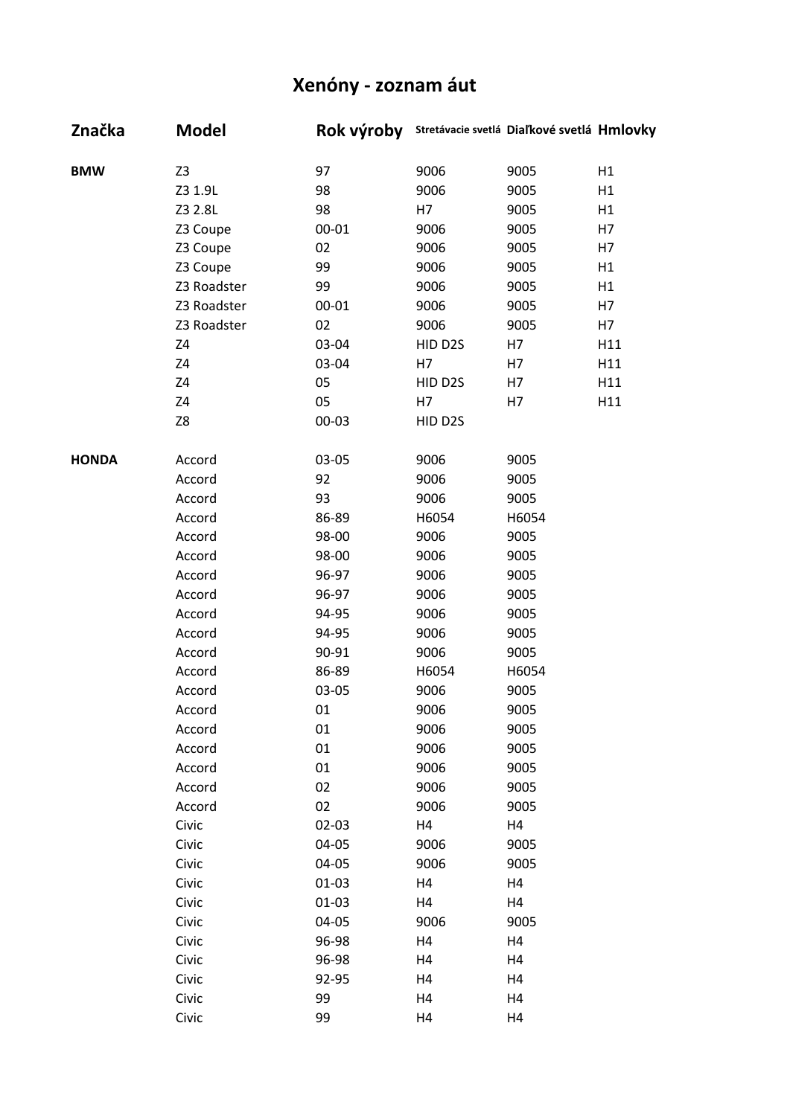| Značka       | <b>Model</b>   | Rok výroby |         | Stretávacie svetlá Diaľkové svetlá Hmlovky |     |
|--------------|----------------|------------|---------|--------------------------------------------|-----|
| <b>BMW</b>   | Z <sub>3</sub> | 97         | 9006    | 9005                                       | H1  |
|              | Z3 1.9L        | 98         | 9006    | 9005                                       | H1  |
|              | Z3 2.8L        | 98         | H7      | 9005                                       | H1  |
|              | Z3 Coupe       | $00 - 01$  | 9006    | 9005                                       | H7  |
|              | Z3 Coupe       | 02         | 9006    | 9005                                       | H7  |
|              | Z3 Coupe       | 99         | 9006    | 9005                                       | H1  |
|              | Z3 Roadster    | 99         | 9006    | 9005                                       | H1  |
|              | Z3 Roadster    | $00 - 01$  | 9006    | 9005                                       | H7  |
|              | Z3 Roadster    | 02         | 9006    | 9005                                       | H7  |
|              | Z4             | 03-04      | HID D2S | H7                                         | H11 |
|              | Z4             | 03-04      | H7      | H7                                         | H11 |
|              | Z4             | 05         | HID D2S | H7                                         | H11 |
|              | Z4             | 05         | H7      | H7                                         | H11 |
|              | Z8             | 00-03      | HID D2S |                                            |     |
| <b>HONDA</b> | Accord         | 03-05      | 9006    | 9005                                       |     |
|              | Accord         | 92         | 9006    | 9005                                       |     |
|              | Accord         | 93         | 9006    | 9005                                       |     |
|              | Accord         | 86-89      | H6054   | H6054                                      |     |
|              | Accord         | 98-00      | 9006    | 9005                                       |     |
|              | Accord         | 98-00      | 9006    | 9005                                       |     |
|              | Accord         | 96-97      | 9006    | 9005                                       |     |
|              | Accord         | 96-97      | 9006    | 9005                                       |     |
|              | Accord         | 94-95      | 9006    | 9005                                       |     |
|              | Accord         | 94-95      | 9006    | 9005                                       |     |
|              | Accord         | 90-91      | 9006    | 9005                                       |     |
|              | Accord         | 86-89      | H6054   | H6054                                      |     |
|              | Accord         | 03-05      | 9006    | 9005                                       |     |
|              | Accord         | 01         | 9006    | 9005                                       |     |
|              | Accord         | 01         | 9006    | 9005                                       |     |
|              | Accord         | 01         | 9006    | 9005                                       |     |
|              | Accord         | 01         | 9006    | 9005                                       |     |
|              | Accord         | 02         | 9006    | 9005                                       |     |
|              | Accord         | 02         | 9006    | 9005                                       |     |
|              | Civic          | 02-03      | H4      | H4                                         |     |
|              | Civic          | 04-05      | 9006    | 9005                                       |     |
|              | Civic          | 04-05      | 9006    | 9005                                       |     |
|              | Civic          | $01 - 03$  | H4      | H4                                         |     |
|              | Civic          | $01 - 03$  | H4      | H4                                         |     |
|              | Civic          | 04-05      | 9006    | 9005                                       |     |
|              | Civic          | 96-98      | H4      | H4                                         |     |
|              | Civic          | 96-98      | H4      | H4                                         |     |
|              | Civic          | 92-95      | H4      | H4                                         |     |
|              | Civic          | 99         | H4      | H4                                         |     |
|              | Civic          | 99         | H4      | H4                                         |     |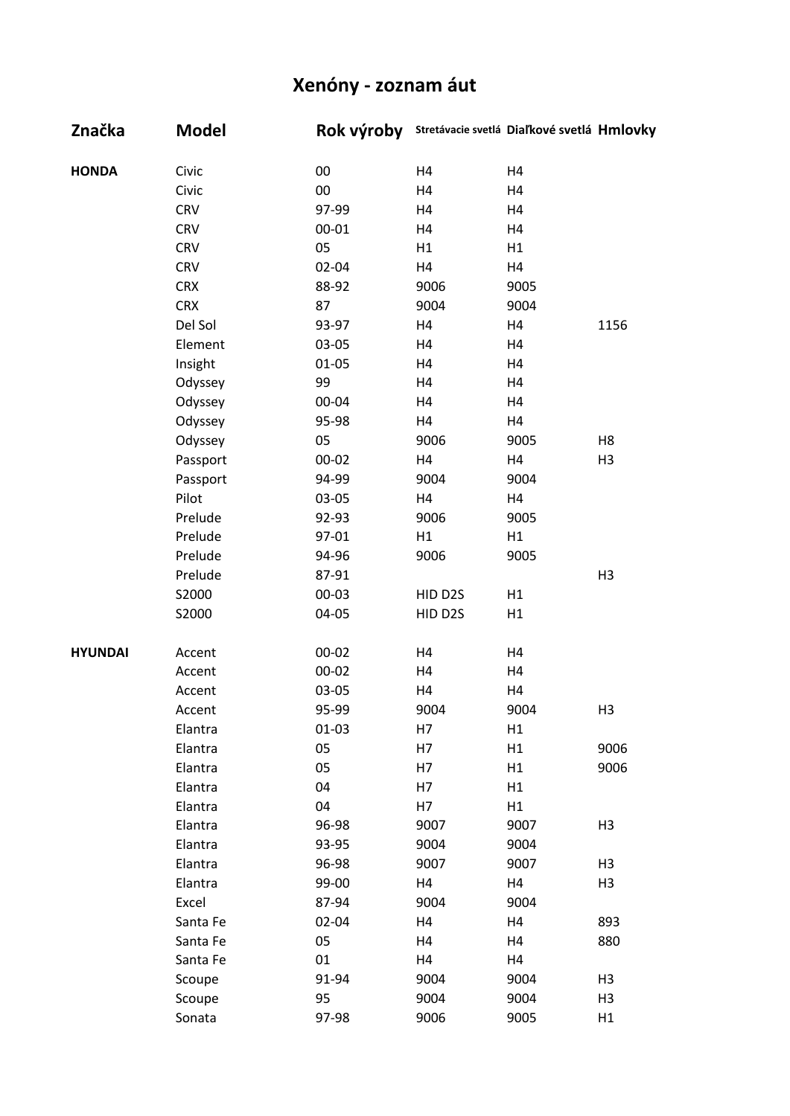| Značka         | <b>Model</b> | Rok výroby |                | Stretávacie svetlá Diaľkové svetlá Hmlovky |                |
|----------------|--------------|------------|----------------|--------------------------------------------|----------------|
| <b>HONDA</b>   | Civic        | 00         | H4             | H4                                         |                |
|                | Civic        | $00\,$     | H4             | H4                                         |                |
|                | <b>CRV</b>   | 97-99      | H4             | H4                                         |                |
|                | <b>CRV</b>   | 00-01      | H4             | H4                                         |                |
|                | <b>CRV</b>   | 05         | H1             | H1                                         |                |
|                | <b>CRV</b>   | 02-04      | H4             | H4                                         |                |
|                | <b>CRX</b>   | 88-92      | 9006           | 9005                                       |                |
|                | <b>CRX</b>   | 87         | 9004           | 9004                                       |                |
|                | Del Sol      | 93-97      | H4             | H4                                         | 1156           |
|                | Element      | 03-05      | H <sub>4</sub> | H4                                         |                |
|                | Insight      | $01 - 05$  | H4             | H4                                         |                |
|                | Odyssey      | 99         | H4             | H4                                         |                |
|                | Odyssey      | 00-04      | H4             | H4                                         |                |
|                | Odyssey      | 95-98      | H4             | H4                                         |                |
|                | Odyssey      | 05         | 9006           | 9005                                       | H <sub>8</sub> |
|                | Passport     | $00 - 02$  | H <sub>4</sub> | H4                                         | H <sub>3</sub> |
|                | Passport     | 94-99      | 9004           | 9004                                       |                |
|                | Pilot        | 03-05      | H4             | H4                                         |                |
|                | Prelude      | 92-93      | 9006           | 9005                                       |                |
|                | Prelude      | 97-01      | H1             | H1                                         |                |
|                | Prelude      | 94-96      | 9006           | 9005                                       |                |
|                | Prelude      | 87-91      |                |                                            | H <sub>3</sub> |
|                | S2000        | $00 - 03$  | HID D2S        | H1                                         |                |
|                | S2000        | 04-05      | HID D2S        | H1                                         |                |
| <b>HYUNDAI</b> | Accent       | 00-02      | H4             | H4                                         |                |
|                | Accent       | $00 - 02$  | H4             | H4                                         |                |
|                | Accent       | 03-05      | H4             | H4                                         |                |
|                | Accent       | 95-99      | 9004           | 9004                                       | H3             |
|                | Elantra      | $01 - 03$  | H7             | H1                                         |                |
|                | Elantra      | 05         | H7             | H1                                         | 9006           |
|                | Elantra      | 05         | H7             | H1                                         | 9006           |
|                | Elantra      | 04         | H7             | H1                                         |                |
|                | Elantra      | 04         | H7             | H1                                         |                |
|                | Elantra      | 96-98      | 9007           | 9007                                       | H <sub>3</sub> |
|                | Elantra      | 93-95      | 9004           | 9004                                       |                |
|                | Elantra      | 96-98      | 9007           | 9007                                       | H <sub>3</sub> |
|                | Elantra      | 99-00      | H4             | H4                                         | H <sub>3</sub> |
|                | Excel        | 87-94      | 9004           | 9004                                       |                |
|                | Santa Fe     | 02-04      | H4             | H4                                         | 893            |
|                | Santa Fe     | 05         | H4             | H4                                         | 880            |
|                | Santa Fe     | 01         | H4             | H4                                         |                |
|                | Scoupe       | 91-94      | 9004           | 9004                                       | H <sub>3</sub> |
|                | Scoupe       | 95         | 9004           | 9004                                       | H <sub>3</sub> |
|                | Sonata       | 97-98      | 9006           | 9005                                       | H1             |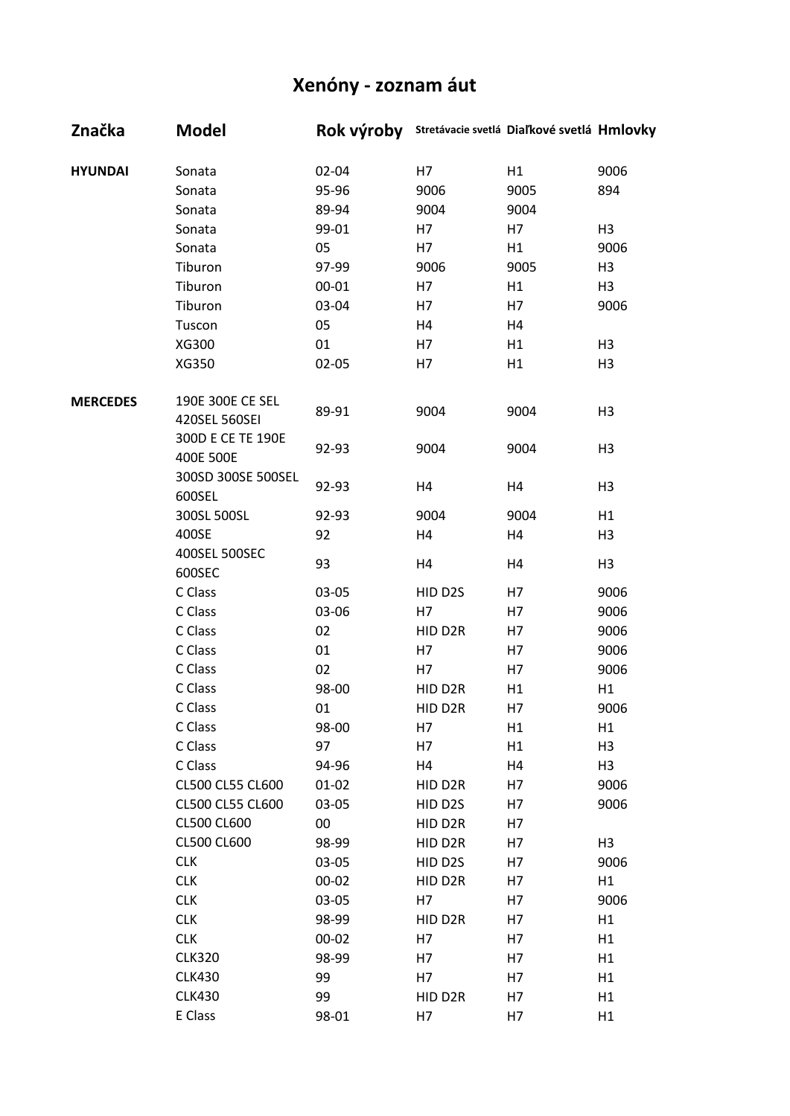| Značka          | <b>Model</b>       |           | Rok výroby Stretávacie svetlá Diaľkové svetlá Hmlovky |      |                |
|-----------------|--------------------|-----------|-------------------------------------------------------|------|----------------|
| <b>HYUNDAI</b>  | Sonata             | 02-04     | H7                                                    | H1   | 9006           |
|                 | Sonata             | 95-96     | 9006                                                  | 9005 | 894            |
|                 | Sonata             | 89-94     | 9004                                                  | 9004 |                |
|                 | Sonata             | 99-01     | H7                                                    | H7   | H <sub>3</sub> |
|                 | Sonata             | 05        | H7                                                    | H1   | 9006           |
|                 | Tiburon            | 97-99     | 9006                                                  | 9005 | H <sub>3</sub> |
|                 | Tiburon            | $00 - 01$ | H7                                                    | H1   | H <sub>3</sub> |
|                 | Tiburon            | 03-04     | H7                                                    | H7   | 9006           |
|                 | Tuscon             | 05        | H4                                                    | H4   |                |
|                 | XG300              | 01        | H7                                                    | H1   | H <sub>3</sub> |
|                 | XG350              | $02 - 05$ | H7                                                    | H1   | H <sub>3</sub> |
| <b>MERCEDES</b> | 190E 300E CE SEL   |           |                                                       |      |                |
|                 | 420SEL 560SEI      | 89-91     | 9004                                                  | 9004 | H <sub>3</sub> |
|                 | 300D E CE TE 190E  | 92-93     | 9004                                                  | 9004 | H <sub>3</sub> |
|                 | 400E 500E          |           |                                                       |      |                |
|                 | 300SD 300SE 500SEL | 92-93     | H4                                                    | H4   | H <sub>3</sub> |
|                 | 600SEL             |           |                                                       |      |                |
|                 | 300SL 500SL        | 92-93     | 9004                                                  | 9004 | H1             |
|                 | 400SE              | 92        | H4                                                    | H4   | H <sub>3</sub> |
|                 | 400SEL 500SEC      |           |                                                       |      |                |
|                 | 600SEC             | 93        | H <sub>4</sub>                                        | H4   | H <sub>3</sub> |
|                 | C Class            | 03-05     | HID D2S                                               | H7   | 9006           |
|                 | C Class            | 03-06     | H7                                                    | H7   | 9006           |
|                 | C Class            | 02        | HID D2R                                               | H7   | 9006           |
|                 | C Class            | 01        | H7                                                    | H7   | 9006           |
|                 | C Class            | 02        | H7                                                    | H7   | 9006           |
|                 | C Class            | 98-00     | HID D2R                                               | H1   | H1             |
|                 | C Class            | 01        | HID D2R                                               | H7   | 9006           |
|                 | C Class            | 98-00     | H7                                                    | H1   | H1             |
|                 | C Class            | 97        | H7                                                    | H1   | H <sub>3</sub> |
|                 | C Class            | 94-96     | H4                                                    | H4   | H <sub>3</sub> |
|                 | CL500 CL55 CL600   | $01 - 02$ | HID D2R                                               | H7   | 9006           |
|                 | CL500 CL55 CL600   | 03-05     | HID D2S                                               | H7   | 9006           |
|                 | CL500 CL600        | $00\,$    | HID D2R                                               | H7   |                |
|                 | CL500 CL600        | 98-99     | HID D2R                                               | H7   | H <sub>3</sub> |
|                 | <b>CLK</b>         | 03-05     | HID D2S                                               | H7   | 9006           |
|                 | <b>CLK</b>         | $00 - 02$ | HID D2R                                               | H7   | H1             |
|                 | <b>CLK</b>         | 03-05     | H7                                                    | H7   | 9006           |
|                 | <b>CLK</b>         | 98-99     | HID D2R                                               | H7   | H1             |
|                 | <b>CLK</b>         | $00 - 02$ | H7                                                    | H7   | H1             |
|                 | <b>CLK320</b>      | 98-99     | H7                                                    | H7   | H1             |
|                 | <b>CLK430</b>      | 99        | H7                                                    | H7   | H1             |
|                 | <b>CLK430</b>      | 99        | HID D2R                                               | H7   | H1             |
|                 | E Class            | 98-01     | H7                                                    | H7   | H1             |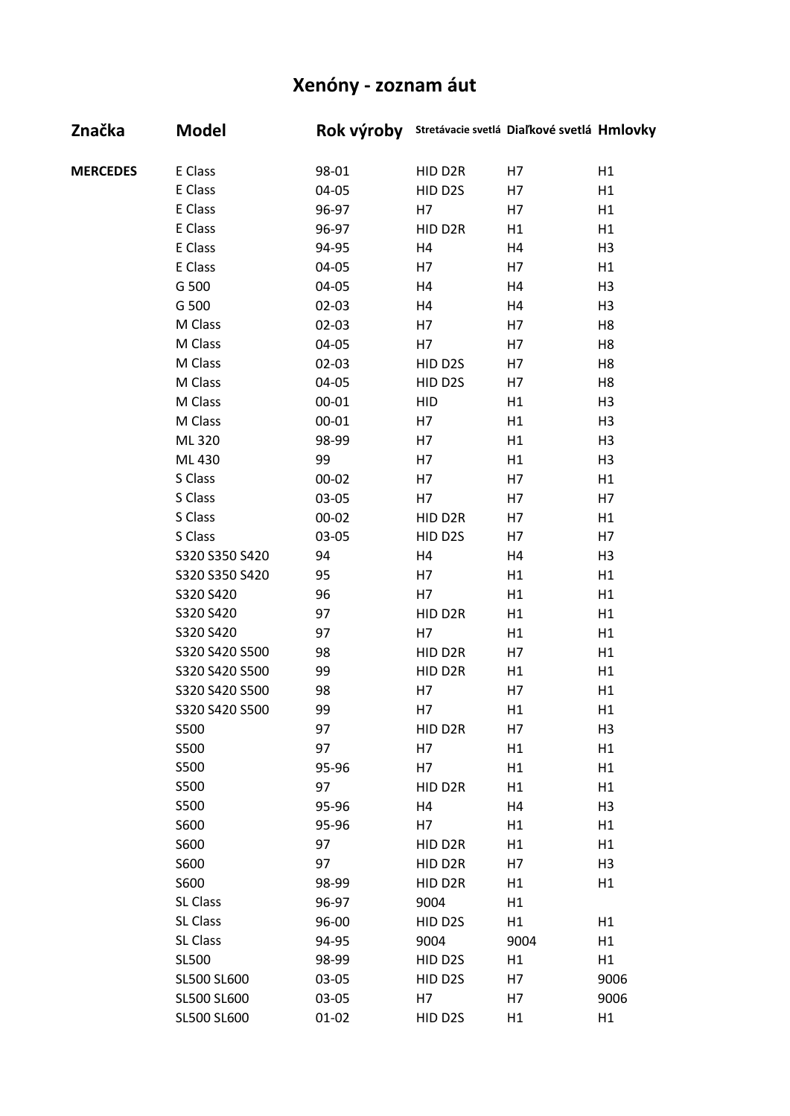| Značka          | <b>Model</b>   | Rok výroby |            | Stretávacie svetlá Diaľkové svetlá Hmlovky |                |
|-----------------|----------------|------------|------------|--------------------------------------------|----------------|
| <b>MERCEDES</b> | E Class        | 98-01      | HID D2R    | H7                                         | H1             |
|                 | E Class        | 04-05      | HID D2S    | H7                                         | H1             |
|                 | E Class        | 96-97      | H7         | H7                                         | H1             |
|                 | E Class        | 96-97      | HID D2R    | H1                                         | H1             |
|                 | E Class        | 94-95      | H4         | H4                                         | H <sub>3</sub> |
|                 | E Class        | 04-05      | H7         | H7                                         | H1             |
|                 | G 500          | 04-05      | H4         | H4                                         | H <sub>3</sub> |
|                 | G 500          | $02 - 03$  | H4         | H4                                         | H <sub>3</sub> |
|                 | M Class        | $02 - 03$  | H7         | H7                                         | H8             |
|                 | M Class        | 04-05      | H7         | H7                                         | H <sub>8</sub> |
|                 | M Class        | $02 - 03$  | HID D2S    | H7                                         | H <sub>8</sub> |
|                 | M Class        | 04-05      | HID D2S    | H7                                         | H <sub>8</sub> |
|                 | M Class        | $00 - 01$  | <b>HID</b> | H1                                         | H <sub>3</sub> |
|                 | M Class        | $00 - 01$  | H7         | H1                                         | H <sub>3</sub> |
|                 | ML 320         | 98-99      | H7         | H1                                         | H <sub>3</sub> |
|                 | ML 430         | 99         | H7         | H1                                         | H <sub>3</sub> |
|                 | S Class        | $00 - 02$  | H7         | H7                                         | H1             |
|                 | S Class        | 03-05      | H7         | H7                                         | H7             |
|                 | S Class        | $00 - 02$  | HID D2R    | H7                                         | H1             |
|                 | S Class        | 03-05      | HID D2S    | H7                                         | H7             |
|                 | S320 S350 S420 | 94         | H4         | H4                                         | H <sub>3</sub> |
|                 | S320 S350 S420 | 95         | H7         | H1                                         | H1             |
|                 | S320 S420      | 96         | H7         | H1                                         | H1             |
|                 | S320 S420      | 97         | HID D2R    | H1                                         | H1             |
|                 | S320 S420      | 97         | H7         | H1                                         | H1             |
|                 | S320 S420 S500 | 98         | HID D2R    | H7                                         | H1             |
|                 | S320 S420 S500 | 99         | HID D2R    | H1                                         | H1             |
|                 | S320 S420 S500 | 98         | H7         | H7                                         | H1             |
|                 | S320 S420 S500 | 99         | H7         | H1                                         | H1             |
|                 | S500           | 97         | HID D2R    | H7                                         | H <sub>3</sub> |
|                 | S500           | 97         | H7         | H1                                         | H1             |
|                 | S500           | 95-96      | H7         | H1                                         | H1             |
|                 | S500           | 97         | HID D2R    | H1                                         | H1             |
|                 | S500           | 95-96      | H4         | H4                                         | H <sub>3</sub> |
|                 | S600           | 95-96      | H7         | H1                                         | H1             |
|                 | S600           | 97         | HID D2R    | H1                                         | H1             |
|                 | S600           | 97         | HID D2R    | H7                                         | H <sub>3</sub> |
|                 | S600           | 98-99      | HID D2R    | H1                                         | H1             |
|                 | SL Class       | 96-97      | 9004       | H1                                         |                |
|                 | SL Class       | 96-00      | HID D2S    | H1                                         | H1             |
|                 | SL Class       | 94-95      | 9004       | 9004                                       | H1             |
|                 | SL500          | 98-99      | HID D2S    | H1                                         | H1             |
|                 | SL500 SL600    | 03-05      | HID D2S    | H7                                         | 9006           |
|                 | SL500 SL600    | 03-05      | H7         | H7                                         | 9006           |
|                 | SL500 SL600    | $01 - 02$  | HID D2S    | H1                                         | H1             |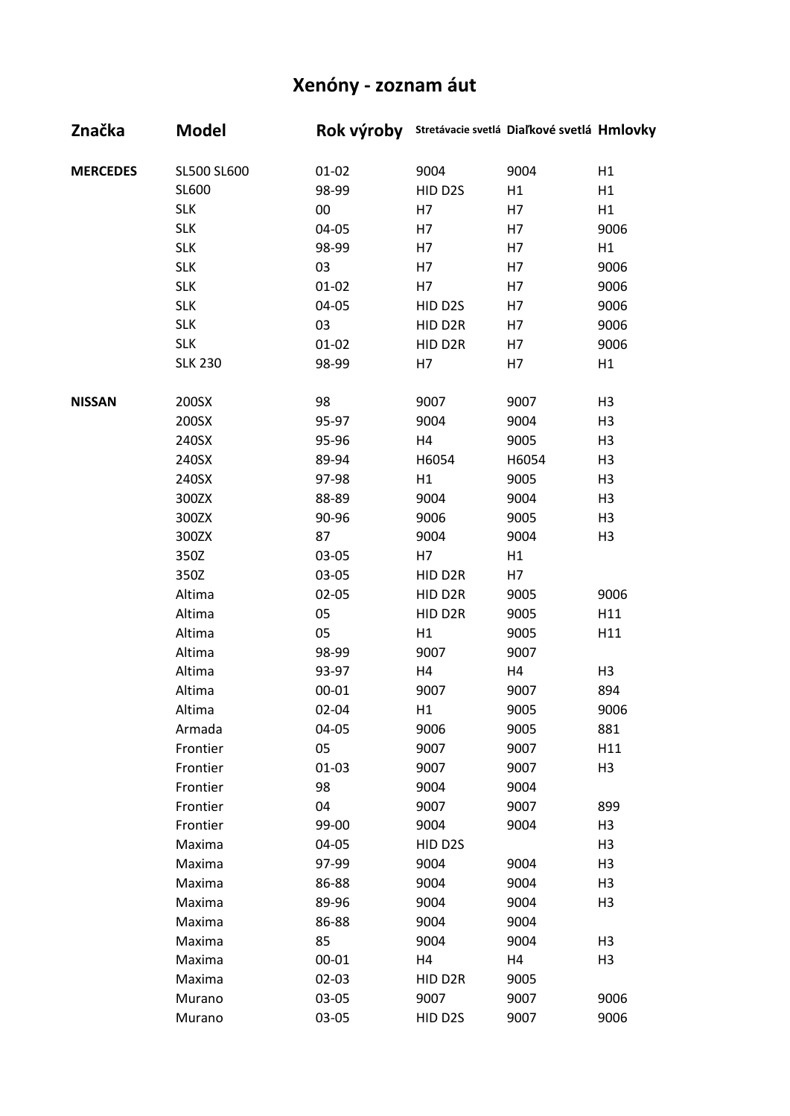| Značka          | <b>Model</b>   |           | Rok výroby Stretávacie svetlá Diaľkové svetlá Hmlovky |       |                |
|-----------------|----------------|-----------|-------------------------------------------------------|-------|----------------|
| <b>MERCEDES</b> | SL500 SL600    | $01 - 02$ | 9004                                                  | 9004  | H1             |
|                 | SL600          | 98-99     | HID D2S                                               | H1    | H1             |
|                 | <b>SLK</b>     | $00\,$    | H7                                                    | H7    | H1             |
|                 | <b>SLK</b>     | 04-05     | H7                                                    | H7    | 9006           |
|                 | <b>SLK</b>     | 98-99     | H7                                                    | H7    | H1             |
|                 | <b>SLK</b>     | 03        | H7                                                    | H7    | 9006           |
|                 | <b>SLK</b>     | $01 - 02$ | H7                                                    | H7    | 9006           |
|                 | <b>SLK</b>     | 04-05     | HID D2S                                               | H7    | 9006           |
|                 | <b>SLK</b>     | 03        | HID D2R                                               | H7    | 9006           |
|                 | <b>SLK</b>     | $01 - 02$ | HID D2R                                               | H7    | 9006           |
|                 | <b>SLK 230</b> | 98-99     | H7                                                    | H7    | H1             |
| <b>NISSAN</b>   | 200SX          | 98        | 9007                                                  | 9007  | H <sub>3</sub> |
|                 | 200SX          | 95-97     | 9004                                                  | 9004  | H <sub>3</sub> |
|                 | 240SX          | 95-96     | H4                                                    | 9005  | H <sub>3</sub> |
|                 | 240SX          | 89-94     | H6054                                                 | H6054 | H <sub>3</sub> |
|                 | 240SX          | 97-98     | H1                                                    | 9005  | H <sub>3</sub> |
|                 | 300ZX          | 88-89     | 9004                                                  | 9004  | H <sub>3</sub> |
|                 | 300ZX          | 90-96     | 9006                                                  | 9005  | H <sub>3</sub> |
|                 | 300ZX          | 87        | 9004                                                  | 9004  | H <sub>3</sub> |
|                 | 350Z           | 03-05     | H7                                                    | H1    |                |
|                 | 350Z           | 03-05     | HID D2R                                               | H7    |                |
|                 | Altima         | $02 - 05$ | HID D2R                                               | 9005  | 9006           |
|                 | Altima         | 05        | HID D2R                                               | 9005  | H11            |
|                 | Altima         | 05        | H1                                                    | 9005  | H11            |
|                 | Altima         | 98-99     | 9007                                                  | 9007  |                |
|                 | Altima         | 93-97     | H4                                                    | H4    | H <sub>3</sub> |
|                 | Altima         | $00 - 01$ | 9007                                                  | 9007  | 894            |
|                 | Altima         | 02-04     | H1                                                    | 9005  | 9006           |
|                 | Armada         | 04-05     | 9006                                                  | 9005  | 881            |
|                 | Frontier       | 05        | 9007                                                  | 9007  | H11            |
|                 | Frontier       | $01-03$   | 9007                                                  | 9007  | H <sub>3</sub> |
|                 | Frontier       | 98        | 9004                                                  | 9004  |                |
|                 | Frontier       | 04        | 9007                                                  | 9007  | 899            |
|                 | Frontier       | 99-00     | 9004                                                  | 9004  | H <sub>3</sub> |
|                 | Maxima         | 04-05     | HID D2S                                               |       | H <sub>3</sub> |
|                 | Maxima         | 97-99     | 9004                                                  | 9004  | H <sub>3</sub> |
|                 | Maxima         | 86-88     | 9004                                                  | 9004  | H <sub>3</sub> |
|                 | Maxima         | 89-96     | 9004                                                  | 9004  | H <sub>3</sub> |
|                 | Maxima         | 86-88     | 9004                                                  | 9004  |                |
|                 | Maxima         | 85        | 9004                                                  | 9004  | H <sub>3</sub> |
|                 | Maxima         | $00 - 01$ | H4                                                    | H4    | H <sub>3</sub> |
|                 | Maxima         | $02 - 03$ | HID D2R                                               | 9005  |                |
|                 | Murano         | 03-05     | 9007                                                  | 9007  | 9006           |
|                 | Murano         | 03-05     | HID D2S                                               | 9007  | 9006           |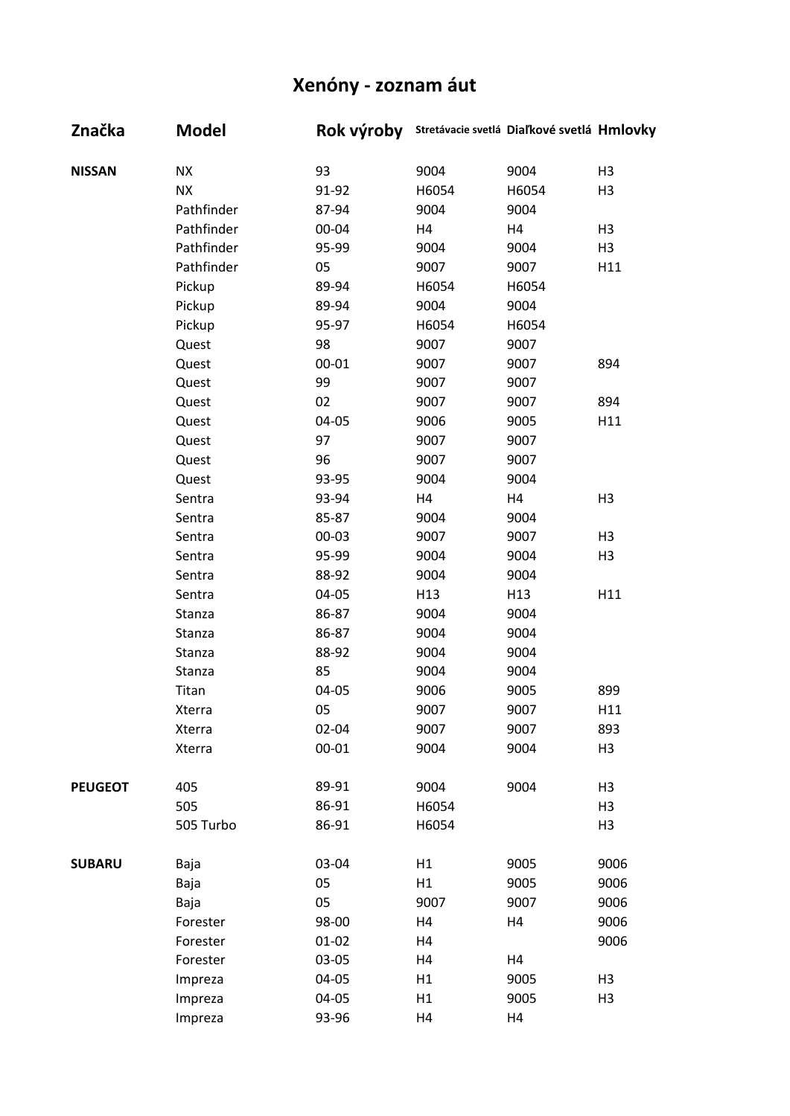| Značka         | <b>Model</b>  | Rok výroby |                 | Stretávacie svetlá Diaľkové svetlá Hmlovky |                |
|----------------|---------------|------------|-----------------|--------------------------------------------|----------------|
| <b>NISSAN</b>  | <b>ΝΧ</b>     | 93         | 9004            | 9004                                       | H <sub>3</sub> |
|                | <b>NX</b>     | 91-92      | H6054           | H6054                                      | H <sub>3</sub> |
|                | Pathfinder    | 87-94      | 9004            | 9004                                       |                |
|                | Pathfinder    | 00-04      | H4              | H4                                         | H <sub>3</sub> |
|                | Pathfinder    | 95-99      | 9004            | 9004                                       | H <sub>3</sub> |
|                | Pathfinder    | 05         | 9007            | 9007                                       | H11            |
|                | Pickup        | 89-94      | H6054           | H6054                                      |                |
|                | Pickup        | 89-94      | 9004            | 9004                                       |                |
|                | Pickup        | 95-97      | H6054           | H6054                                      |                |
|                | Quest         | 98         | 9007            | 9007                                       |                |
|                | Quest         | $00 - 01$  | 9007            | 9007                                       | 894            |
|                | Quest         | 99         | 9007            | 9007                                       |                |
|                | Quest         | 02         | 9007            | 9007                                       | 894            |
|                | Quest         | 04-05      | 9006            | 9005                                       | H11            |
|                | Quest         | 97         | 9007            | 9007                                       |                |
|                | Quest         | 96         | 9007            | 9007                                       |                |
|                | Quest         | 93-95      | 9004            | 9004                                       |                |
|                | Sentra        | 93-94      | H4              | H4                                         | H <sub>3</sub> |
|                | Sentra        | 85-87      | 9004            | 9004                                       |                |
|                | Sentra        | $00 - 03$  | 9007            | 9007                                       | H <sub>3</sub> |
|                | Sentra        | 95-99      | 9004            | 9004                                       | H <sub>3</sub> |
|                | Sentra        | 88-92      | 9004            | 9004                                       |                |
|                | Sentra        | 04-05      | H <sub>13</sub> | H <sub>13</sub>                            | H11            |
|                | Stanza        | 86-87      | 9004            | 9004                                       |                |
|                | Stanza        | 86-87      | 9004            | 9004                                       |                |
|                | Stanza        | 88-92      | 9004            | 9004                                       |                |
|                | Stanza        | 85         | 9004            | 9004                                       |                |
|                | Titan         | 04-05      | 9006            | 9005                                       | 899            |
|                | Xterra        | 05         | 9007            | 9007                                       | H11            |
|                | Xterra        | $02 - 04$  | 9007            | 9007                                       | 893            |
|                | <b>Xterra</b> | $00 - 01$  | 9004            | 9004                                       | H <sub>3</sub> |
| <b>PEUGEOT</b> | 405           | 89-91      | 9004            | 9004                                       | H <sub>3</sub> |
|                | 505           | 86-91      | H6054           |                                            | H <sub>3</sub> |
|                | 505 Turbo     | 86-91      | H6054           |                                            | H <sub>3</sub> |
| <b>SUBARU</b>  | Baja          | 03-04      | H1              | 9005                                       | 9006           |
|                | Baja          | 05         | H1              | 9005                                       | 9006           |
|                | Baja          | 05         | 9007            | 9007                                       | 9006           |
|                | Forester      | 98-00      | H4              | H4                                         | 9006           |
|                | Forester      | $01 - 02$  | H4              |                                            | 9006           |
|                | Forester      | 03-05      | H4              | H4                                         |                |
|                | Impreza       | 04-05      | H1              | 9005                                       | H <sub>3</sub> |
|                | Impreza       | 04-05      | H1              | 9005                                       | H <sub>3</sub> |
|                | Impreza       | 93-96      | H4              | H4                                         |                |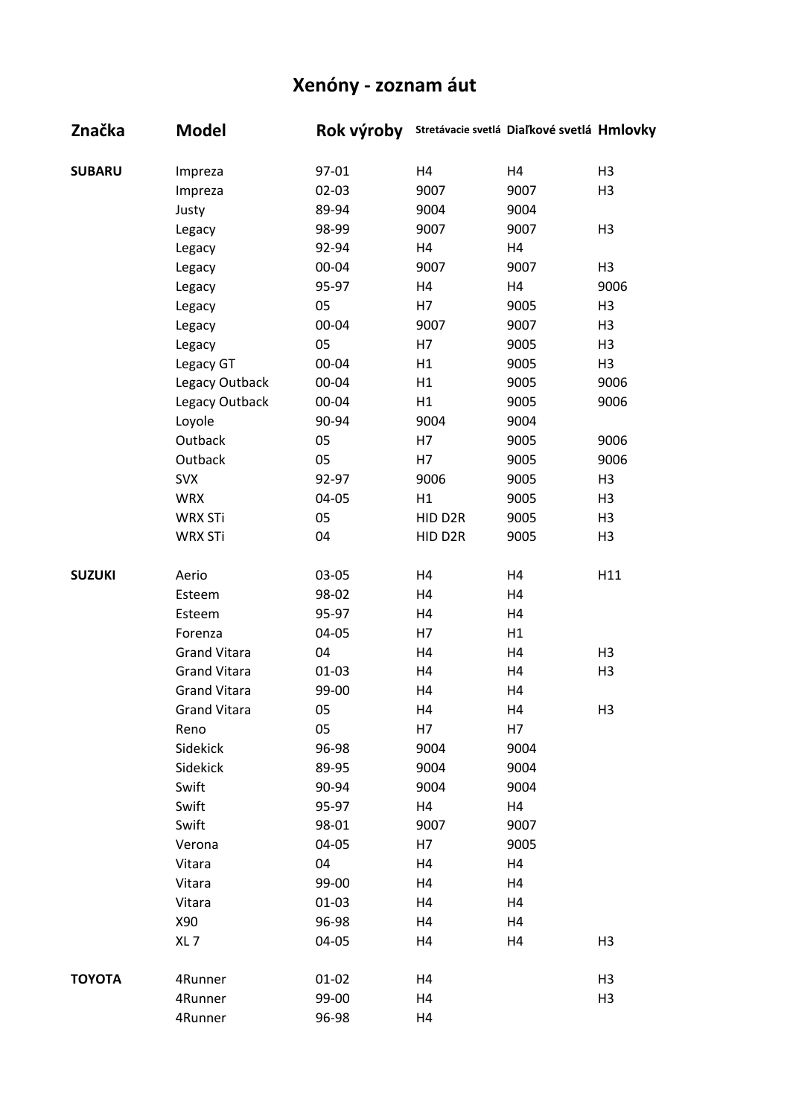| Značka        | <b>Model</b>        | Rok výroby |         | Stretávacie svetlá Diaľkové svetlá Hmlovky |                |
|---------------|---------------------|------------|---------|--------------------------------------------|----------------|
| <b>SUBARU</b> | Impreza             | 97-01      | H4      | H4                                         | H <sub>3</sub> |
|               | Impreza             | $02 - 03$  | 9007    | 9007                                       | H <sub>3</sub> |
|               | Justy               | 89-94      | 9004    | 9004                                       |                |
|               | Legacy              | 98-99      | 9007    | 9007                                       | H <sub>3</sub> |
|               | Legacy              | 92-94      | H4      | H4                                         |                |
|               | Legacy              | 00-04      | 9007    | 9007                                       | H <sub>3</sub> |
|               | Legacy              | 95-97      | H4      | H4                                         | 9006           |
|               | Legacy              | 05         | H7      | 9005                                       | H <sub>3</sub> |
|               | Legacy              | 00-04      | 9007    | 9007                                       | H <sub>3</sub> |
|               | Legacy              | 05         | H7      | 9005                                       | H <sub>3</sub> |
|               | Legacy GT           | 00-04      | H1      | 9005                                       | H <sub>3</sub> |
|               | Legacy Outback      | 00-04      | H1      | 9005                                       | 9006           |
|               | Legacy Outback      | 00-04      | H1      | 9005                                       | 9006           |
|               | Loyole              | 90-94      | 9004    | 9004                                       |                |
|               | Outback             | 05         | H7      | 9005                                       | 9006           |
|               | Outback             | 05         | H7      | 9005                                       | 9006           |
|               | <b>SVX</b>          | 92-97      | 9006    | 9005                                       | H <sub>3</sub> |
|               | <b>WRX</b>          | 04-05      | H1      | 9005                                       | H <sub>3</sub> |
|               | <b>WRX STi</b>      | 05         | HID D2R | 9005                                       | H <sub>3</sub> |
|               | <b>WRX STi</b>      | 04         | HID D2R | 9005                                       | H <sub>3</sub> |
| <b>SUZUKI</b> | Aerio               | 03-05      | H4      | H4                                         | H11            |
|               | Esteem              | 98-02      | H4      | H4                                         |                |
|               | Esteem              | 95-97      | H4      | H4                                         |                |
|               | Forenza             | 04-05      | H7      | H1                                         |                |
|               | <b>Grand Vitara</b> | 04         | H4      | H4                                         | H <sub>3</sub> |
|               | <b>Grand Vitara</b> | $01 - 03$  | H4      | H4                                         | H <sub>3</sub> |
|               | <b>Grand Vitara</b> | 99-00      | Η4      | H4                                         |                |
|               | <b>Grand Vitara</b> | 05         | H4      | H4                                         | H3             |
|               | Reno                | 05         | H7      | H7                                         |                |
|               | Sidekick            | 96-98      | 9004    | 9004                                       |                |
|               | Sidekick            | 89-95      | 9004    | 9004                                       |                |
|               | Swift               | 90-94      | 9004    | 9004                                       |                |
|               | Swift               | 95-97      | Η4      | H4                                         |                |
|               | Swift               | 98-01      | 9007    | 9007                                       |                |
|               | Verona              | 04-05      | H7      | 9005                                       |                |
|               | Vitara              | 04         | H4      | H4                                         |                |
|               | Vitara              | 99-00      | H4      | H4                                         |                |
|               | Vitara              | $01 - 03$  | H4      | H4                                         |                |
|               | X90                 | 96-98      | H4      | H4                                         |                |
|               | XL <sub>7</sub>     | 04-05      | H4      | H4                                         | H <sub>3</sub> |
| <b>TOYOTA</b> | 4Runner             | $01 - 02$  | H4      |                                            | H <sub>3</sub> |
|               | 4Runner             | 99-00      | H4      |                                            | H <sub>3</sub> |
|               | 4Runner             | 96-98      | H4      |                                            |                |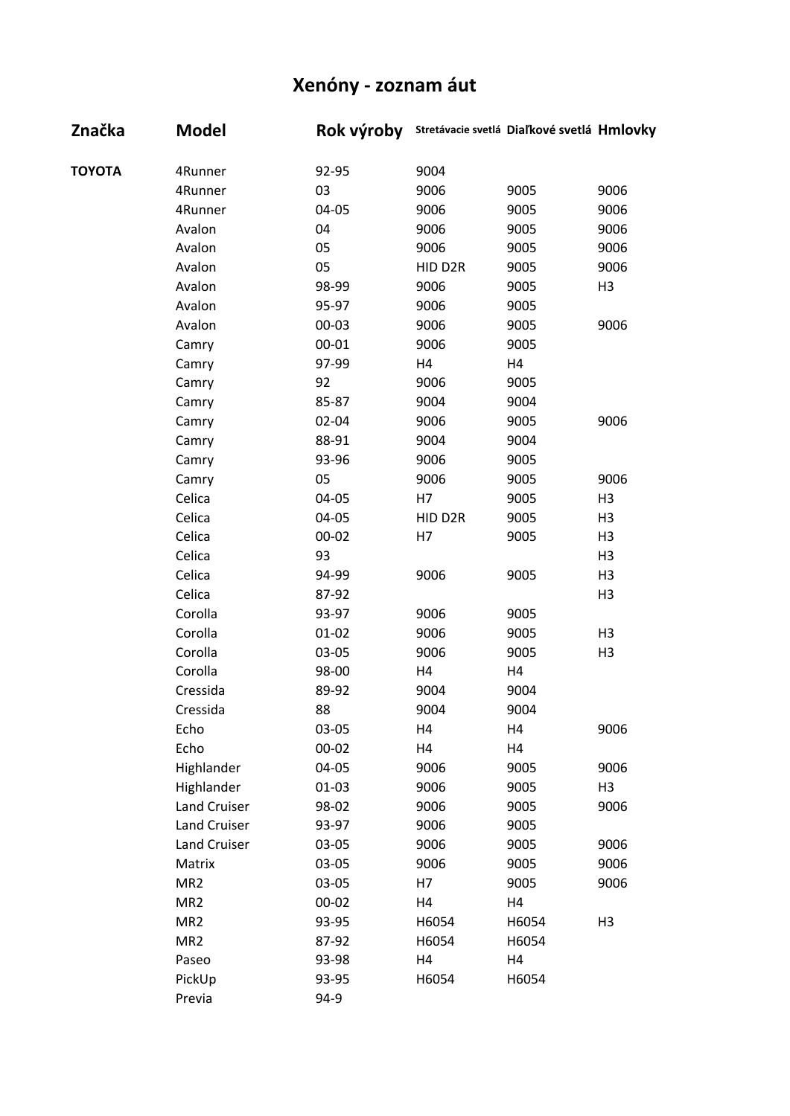| Značka        | <b>Model</b>    | Rok výroby | Stretávacie svetlá Diaľkové svetlá Hmlovky |       |                |
|---------------|-----------------|------------|--------------------------------------------|-------|----------------|
| <b>TOYOTA</b> | 4Runner         | 92-95      | 9004                                       |       |                |
|               | 4Runner         | 03         | 9006                                       | 9005  | 9006           |
|               | 4Runner         | 04-05      | 9006                                       | 9005  | 9006           |
|               | Avalon          | 04         | 9006                                       | 9005  | 9006           |
|               | Avalon          | 05         | 9006                                       | 9005  | 9006           |
|               | Avalon          | 05         | HID D2R                                    | 9005  | 9006           |
|               | Avalon          | 98-99      | 9006                                       | 9005  | H <sub>3</sub> |
|               | Avalon          | 95-97      | 9006                                       | 9005  |                |
|               | Avalon          | $00 - 03$  | 9006                                       | 9005  | 9006           |
|               | Camry           | $00 - 01$  | 9006                                       | 9005  |                |
|               | Camry           | 97-99      | H4                                         | H4    |                |
|               | Camry           | 92         | 9006                                       | 9005  |                |
|               | Camry           | 85-87      | 9004                                       | 9004  |                |
|               | Camry           | $02 - 04$  | 9006                                       | 9005  | 9006           |
|               | Camry           | 88-91      | 9004                                       | 9004  |                |
|               | Camry           | 93-96      | 9006                                       | 9005  |                |
|               | Camry           | 05         | 9006                                       | 9005  | 9006           |
|               | Celica          | 04-05      | H7                                         | 9005  | H <sub>3</sub> |
|               | Celica          | 04-05      | HID D2R                                    | 9005  | H <sub>3</sub> |
|               | Celica          | $00 - 02$  | H7                                         | 9005  | H <sub>3</sub> |
|               | Celica          | 93         |                                            |       | H <sub>3</sub> |
|               | Celica          | 94-99      | 9006                                       | 9005  | H <sub>3</sub> |
|               | Celica          | 87-92      |                                            |       | H <sub>3</sub> |
|               | Corolla         | 93-97      | 9006                                       | 9005  |                |
|               | Corolla         | $01 - 02$  | 9006                                       | 9005  | H <sub>3</sub> |
|               | Corolla         | 03-05      | 9006                                       | 9005  | H <sub>3</sub> |
|               | Corolla         | 98-00      | H4                                         | H4    |                |
|               | Cressida        | 89-92      | 9004                                       | 9004  |                |
|               | Cressida        | 88         | 9004                                       | 9004  |                |
|               | Echo            | 03-05      | H4                                         | H4    | 9006           |
|               | Echo            | $00 - 02$  | H4                                         | H4    |                |
|               | Highlander      | 04-05      | 9006                                       | 9005  | 9006           |
|               | Highlander      | $01 - 03$  | 9006                                       | 9005  | H <sub>3</sub> |
|               | Land Cruiser    | 98-02      | 9006                                       | 9005  | 9006           |
|               | Land Cruiser    | 93-97      | 9006                                       | 9005  |                |
|               | Land Cruiser    | 03-05      | 9006                                       | 9005  | 9006           |
|               | Matrix          | 03-05      | 9006                                       | 9005  | 9006           |
|               | MR <sub>2</sub> | 03-05      | H7                                         | 9005  | 9006           |
|               | MR <sub>2</sub> | $00 - 02$  | H4                                         | H4    |                |
|               | MR <sub>2</sub> | 93-95      | H6054                                      | H6054 | H <sub>3</sub> |
|               | MR <sub>2</sub> | 87-92      | H6054                                      | H6054 |                |
|               | Paseo           | 93-98      | H4                                         | H4    |                |
|               | PickUp          | 93-95      | H6054                                      | H6054 |                |
|               | Previa          | 94-9       |                                            |       |                |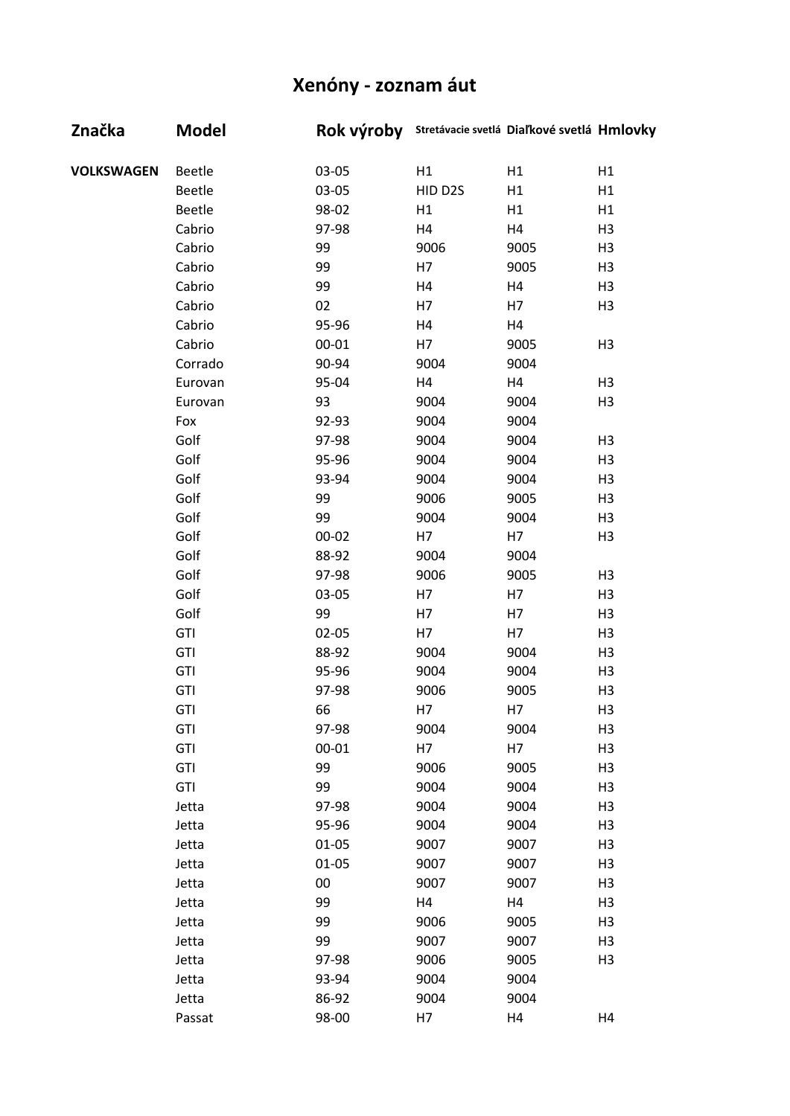| Značka            | <b>Model</b> |           | Rok výroby Stretávacie svetlá Diaľkové svetlá Hmlovky |      |                |
|-------------------|--------------|-----------|-------------------------------------------------------|------|----------------|
| <b>VOLKSWAGEN</b> | Beetle       | 03-05     | H1                                                    | H1   | H1             |
|                   | Beetle       | 03-05     | HID D2S                                               | H1   | H1             |
|                   | Beetle       | 98-02     | H1                                                    | H1   | H1             |
|                   | Cabrio       | 97-98     | H4                                                    | H4   | H <sub>3</sub> |
|                   | Cabrio       | 99        | 9006                                                  | 9005 | H <sub>3</sub> |
|                   | Cabrio       | 99        | H7                                                    | 9005 | H <sub>3</sub> |
|                   | Cabrio       | 99        | H4                                                    | H4   | H <sub>3</sub> |
|                   | Cabrio       | 02        | H7                                                    | H7   | H <sub>3</sub> |
|                   | Cabrio       | 95-96     | H4                                                    | H4   |                |
|                   | Cabrio       | $00 - 01$ | H7                                                    | 9005 | H <sub>3</sub> |
|                   | Corrado      | 90-94     | 9004                                                  | 9004 |                |
|                   | Eurovan      | 95-04     | H4                                                    | H4   | H <sub>3</sub> |
|                   | Eurovan      | 93        | 9004                                                  | 9004 | H <sub>3</sub> |
|                   | Fox          | 92-93     | 9004                                                  | 9004 |                |
|                   | Golf         | 97-98     | 9004                                                  | 9004 | H <sub>3</sub> |
|                   | Golf         | 95-96     | 9004                                                  | 9004 | H <sub>3</sub> |
|                   | Golf         | 93-94     | 9004                                                  | 9004 | H <sub>3</sub> |
|                   | Golf         | 99        | 9006                                                  | 9005 | H <sub>3</sub> |
|                   | Golf         | 99        | 9004                                                  | 9004 | H <sub>3</sub> |
|                   | Golf         | 00-02     | H7                                                    | H7   | H <sub>3</sub> |
|                   | Golf         | 88-92     | 9004                                                  | 9004 |                |
|                   | Golf         | 97-98     | 9006                                                  | 9005 | H <sub>3</sub> |
|                   | Golf         | 03-05     | H7                                                    | H7   | H <sub>3</sub> |
|                   | Golf         | 99        | H7                                                    | H7   | H <sub>3</sub> |
|                   | GTI          | $02 - 05$ | H7                                                    | H7   | H <sub>3</sub> |
|                   | GTI          | 88-92     | 9004                                                  | 9004 | H <sub>3</sub> |
|                   | GTI          | 95-96     | 9004                                                  | 9004 | H <sub>3</sub> |
|                   | GTI          | 97-98     | 9006                                                  | 9005 | H <sub>3</sub> |
|                   | <b>GTI</b>   | 66        | H7                                                    | H7   | H <sub>3</sub> |
|                   | GTI          | 97-98     | 9004                                                  | 9004 | H <sub>3</sub> |
|                   | GTI          | $00 - 01$ | H7                                                    | H7   | H <sub>3</sub> |
|                   | GTI          | 99        | 9006                                                  | 9005 | H <sub>3</sub> |
|                   | GTI          | 99        | 9004                                                  | 9004 | H <sub>3</sub> |
|                   | Jetta        | 97-98     | 9004                                                  | 9004 | H <sub>3</sub> |
|                   | Jetta        | 95-96     | 9004                                                  | 9004 | H <sub>3</sub> |
|                   | Jetta        | $01 - 05$ | 9007                                                  | 9007 | H <sub>3</sub> |
|                   | Jetta        | $01 - 05$ | 9007                                                  | 9007 | H <sub>3</sub> |
|                   | Jetta        | 00        | 9007                                                  | 9007 | H <sub>3</sub> |
|                   | Jetta        | 99        | H4                                                    | H4   | H <sub>3</sub> |
|                   | Jetta        | 99        | 9006                                                  | 9005 | H <sub>3</sub> |
|                   | Jetta        | 99        | 9007                                                  | 9007 | H <sub>3</sub> |
|                   | Jetta        | 97-98     | 9006                                                  | 9005 | H <sub>3</sub> |
|                   | Jetta        | 93-94     | 9004                                                  | 9004 |                |
|                   | Jetta        | 86-92     | 9004                                                  | 9004 |                |
|                   | Passat       | 98-00     | H7                                                    | H4   | H4             |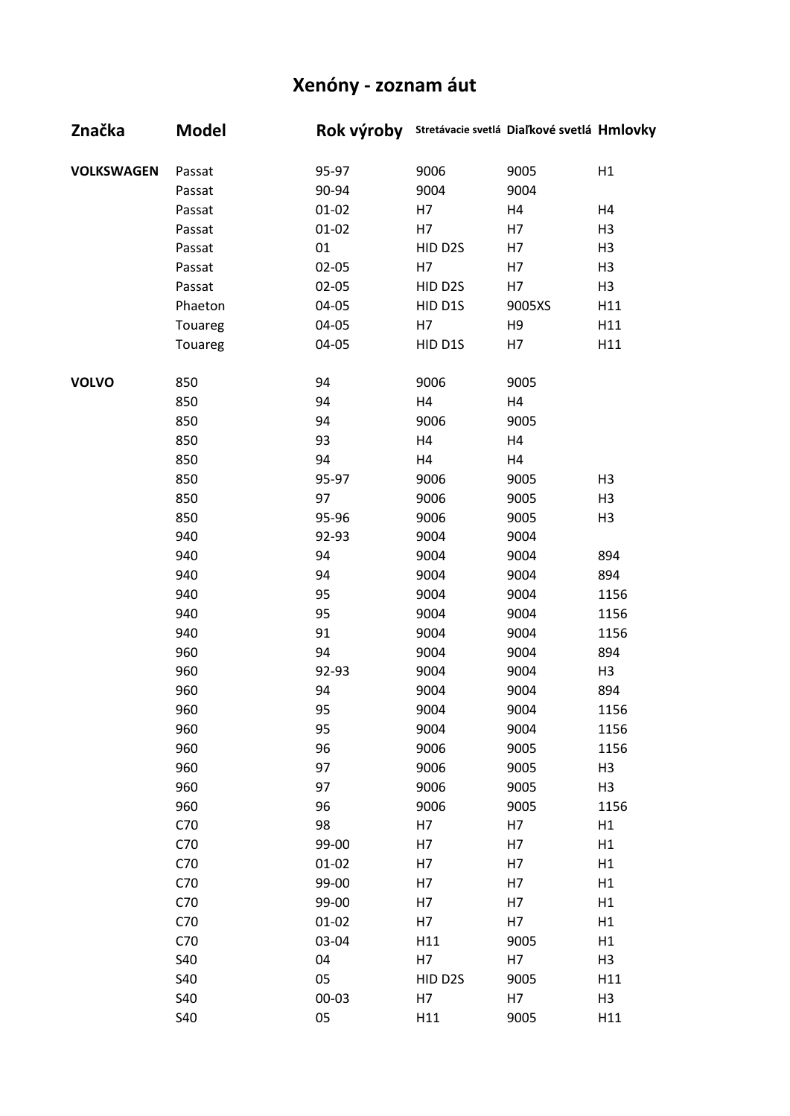| Značka            | Model      | Rok výroby Stretávacie svetlá Diaľkové svetlá Hmlovky |         |                |                |
|-------------------|------------|-------------------------------------------------------|---------|----------------|----------------|
| <b>VOLKSWAGEN</b> | Passat     | 95-97                                                 | 9006    | 9005           | H1             |
|                   | Passat     | 90-94                                                 | 9004    | 9004           |                |
|                   | Passat     | $01 - 02$                                             | H7      | H4             | H4             |
|                   | Passat     | $01 - 02$                                             | H7      | H7             | H <sub>3</sub> |
|                   | Passat     | 01                                                    | HID D2S | H7             | H <sub>3</sub> |
|                   | Passat     | $02 - 05$                                             | H7      | H7             | H <sub>3</sub> |
|                   | Passat     | $02 - 05$                                             | HID D2S | H7             | H <sub>3</sub> |
|                   | Phaeton    | 04-05                                                 | HID D1S | 9005XS         | H11            |
|                   | Touareg    | 04-05                                                 | H7      | H <sub>9</sub> | H11            |
|                   | Touareg    | 04-05                                                 | HID D1S | H7             | H11            |
| <b>VOLVO</b>      | 850        | 94                                                    | 9006    | 9005           |                |
|                   | 850        | 94                                                    | H4      | H4             |                |
|                   | 850        | 94                                                    | 9006    | 9005           |                |
|                   | 850        | 93                                                    | H4      | H4             |                |
|                   | 850        | 94                                                    | H4      | H4             |                |
|                   | 850        | 95-97                                                 | 9006    | 9005           | H <sub>3</sub> |
|                   | 850        | 97                                                    | 9006    | 9005           | H <sub>3</sub> |
|                   | 850        | 95-96                                                 | 9006    | 9005           | H <sub>3</sub> |
|                   | 940        | 92-93                                                 | 9004    | 9004           |                |
|                   | 940        | 94                                                    | 9004    | 9004           | 894            |
|                   | 940        | 94                                                    | 9004    | 9004           | 894            |
|                   | 940        | 95                                                    | 9004    | 9004           | 1156           |
|                   | 940        | 95                                                    | 9004    | 9004           | 1156           |
|                   | 940        | 91                                                    | 9004    | 9004           | 1156           |
|                   | 960        | 94                                                    | 9004    | 9004           | 894            |
|                   | 960        | 92-93                                                 | 9004    | 9004           | H3             |
|                   | 960        | 94                                                    | 9004    | 9004           | 894            |
|                   | 960        | 95                                                    | 9004    | 9004           | 1156           |
|                   | 960        | 95                                                    | 9004    | 9004           | 1156           |
|                   | 960        | 96                                                    | 9006    | 9005           | 1156           |
|                   | 960        | 97                                                    | 9006    | 9005           | H <sub>3</sub> |
|                   | 960        | 97                                                    | 9006    | 9005           | H <sub>3</sub> |
|                   | 960        | 96                                                    | 9006    | 9005           | 1156           |
|                   | C70        | 98                                                    | H7      | H7             | H1             |
|                   | C70        | 99-00                                                 | H7      | H7             | H1             |
|                   | C70        | $01 - 02$                                             | H7      | H7             | H1             |
|                   | C70        | 99-00                                                 | H7      | H7             | H1             |
|                   | C70        | 99-00                                                 | H7      | H7             | H1             |
|                   | C70        | $01 - 02$                                             | H7      | H7             | H1             |
|                   | C70        | 03-04                                                 | H11     | 9005           | H1             |
|                   | <b>S40</b> | 04                                                    | H7      | H7             | H <sub>3</sub> |
|                   | S40        | 05                                                    | HID D2S | 9005           | H11            |
|                   | S40        | $00 - 03$                                             | H7      | H7             | H <sub>3</sub> |
|                   | S40        | 05                                                    | H11     | 9005           | H11            |